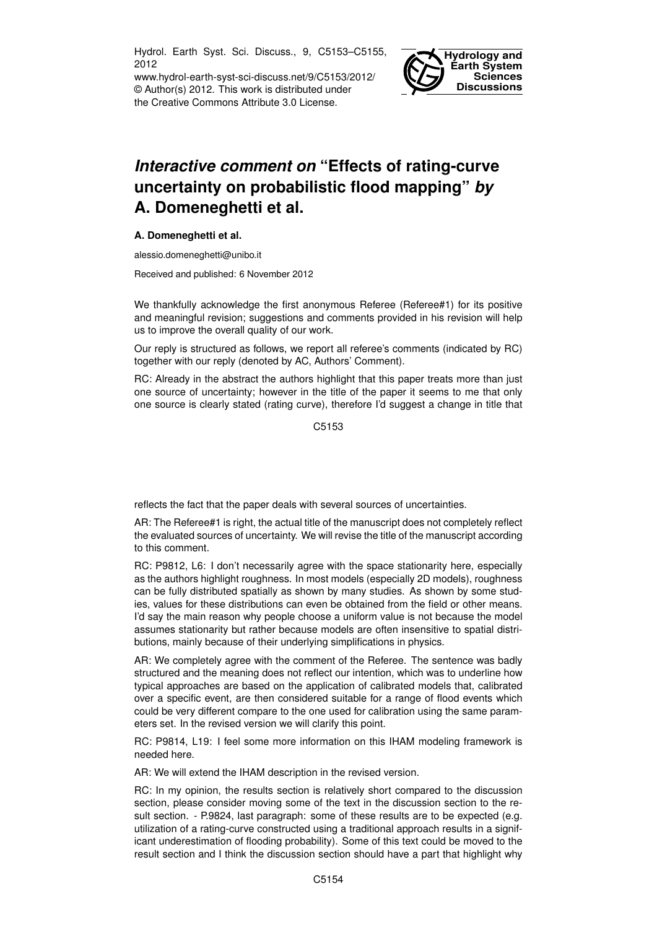Hydrol. Earth Syst. Sci. Discuss., 9, C5153–C5155, 2012

www.hydrol-earth-syst-sci-discuss.net/9/C5153/2012/ © Author(s) 2012. This work is distributed under the Creative Commons Attribute 3.0 License.



## *Interactive comment on* **"Effects of rating-curve uncertainty on probabilistic flood mapping"** *by* **A. Domeneghetti et al.**

## **A. Domeneghetti et al.**

alessio.domeneghetti@unibo.it

Received and published: 6 November 2012

We thankfully acknowledge the first anonymous Referee (Referee#1) for its positive and meaningful revision; suggestions and comments provided in his revision will help us to improve the overall quality of our work.

Our reply is structured as follows, we report all referee's comments (indicated by RC) together with our reply (denoted by AC, Authors' Comment).

RC: Already in the abstract the authors highlight that this paper treats more than just one source of uncertainty; however in the title of the paper it seems to me that only one source is clearly stated (rating curve), therefore I'd suggest a change in title that

C<sub>5153</sub>

reflects the fact that the paper deals with several sources of uncertainties.

AR: The Referee#1 is right, the actual title of the manuscript does not completely reflect the evaluated sources of uncertainty. We will revise the title of the manuscript according to this comment.

RC: P9812, L6: I don't necessarily agree with the space stationarity here, especially as the authors highlight roughness. In most models (especially 2D models), roughness can be fully distributed spatially as shown by many studies. As shown by some studies, values for these distributions can even be obtained from the field or other means. I'd say the main reason why people choose a uniform value is not because the model assumes stationarity but rather because models are often insensitive to spatial distributions, mainly because of their underlying simplifications in physics.

AR: We completely agree with the comment of the Referee. The sentence was badly structured and the meaning does not reflect our intention, which was to underline how typical approaches are based on the application of calibrated models that, calibrated over a specific event, are then considered suitable for a range of flood events which could be very different compare to the one used for calibration using the same parameters set. In the revised version we will clarify this point.

RC: P9814, L19: I feel some more information on this IHAM modeling framework is needed here.

AR: We will extend the IHAM description in the revised version.

RC: In my opinion, the results section is relatively short compared to the discussion section, please consider moving some of the text in the discussion section to the result section. - P.9824, last paragraph: some of these results are to be expected (e.g. utilization of a rating-curve constructed using a traditional approach results in a significant underestimation of flooding probability). Some of this text could be moved to the result section and I think the discussion section should have a part that highlight why